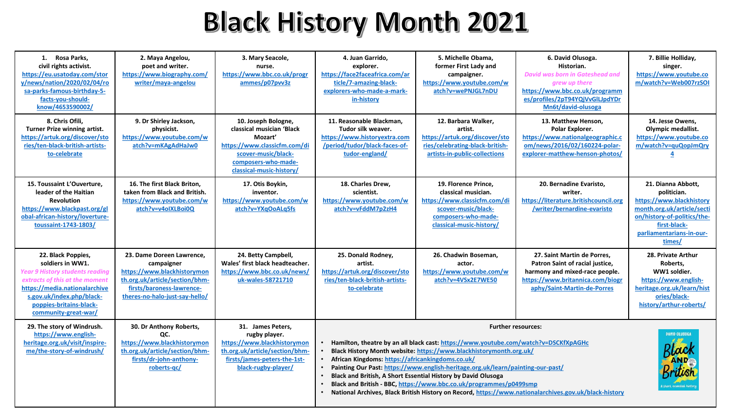## **Black History Month 2021**

| 1. Rosa Parks.<br>civil rights activist.<br>https://eu.usatoday.com/stor<br>v/news/nation/2020/02/04/ro<br>sa-parks-famous-birthday-5-<br>facts-vou-should-<br>know/4653590002/                                                     | 2. Maya Angelou,<br>poet and writer.<br>https://www.biography.com/<br>writer/maya-angelou                                                                               | 3. Mary Seacole,<br>nurse.<br>https://www.bbc.co.uk/progr<br>ammes/p07pvv3z                                                                                           | 4. Juan Garrido,<br>explorer.<br>https://face2faceafrica.com/ar<br>ticle/7-amazing-black-<br>explorers-who-made-a-mark-<br>in-history                                                                                                                                                                                                                                                                                                                                                                                                                                                                   | 5. Michelle Obama.<br>former First Lady and<br>campaigner.<br>https://www.youtube.com/w<br>atch?v=wePNJGL7nDU                                         | 6. David Olusoga.<br>Historian.<br><b>David was born in Gateshead and</b><br>arew up there<br>https://www.bbc.co.uk/programm<br>es/profiles/2pT94YQjVvGlLJpdYDr<br>Mn6t/david-olusoga | 7. Billie Holliday,<br>singer.<br>https://www.youtube.co<br>m/watch?v=Web007rzSOI                                                                                                |
|-------------------------------------------------------------------------------------------------------------------------------------------------------------------------------------------------------------------------------------|-------------------------------------------------------------------------------------------------------------------------------------------------------------------------|-----------------------------------------------------------------------------------------------------------------------------------------------------------------------|---------------------------------------------------------------------------------------------------------------------------------------------------------------------------------------------------------------------------------------------------------------------------------------------------------------------------------------------------------------------------------------------------------------------------------------------------------------------------------------------------------------------------------------------------------------------------------------------------------|-------------------------------------------------------------------------------------------------------------------------------------------------------|---------------------------------------------------------------------------------------------------------------------------------------------------------------------------------------|----------------------------------------------------------------------------------------------------------------------------------------------------------------------------------|
| 8. Chris Ofili.<br>Turner Prize winning artist.<br>https://artuk.org/discover/sto<br>ries/ten-black-british-artists-<br>to-celebrate                                                                                                | 9. Dr Shirley Jackson,<br>physicist.<br>https://www.youtube.com/w<br>atch?v=mKAgAdHaJw0                                                                                 | 10. Joseph Bologne,<br>classical musician 'Black<br>Mozart'<br>https://www.classicfm.com/di<br>scover-music/black-<br>composers-who-made-<br>classical-music-history/ | 11. Reasonable Blackman.<br>Tudor silk weaver.<br>https://www.historyextra.com<br>/period/tudor/black-faces-of-<br>tudor-england/                                                                                                                                                                                                                                                                                                                                                                                                                                                                       | 12. Barbara Walker,<br>artist.<br>https://artuk.org/discover/sto<br>ries/celebrating-black-british-<br>artists-in-public-collections                  | 13. Matthew Henson,<br>Polar Explorer.<br>https://www.nationalgeographic.c<br>om/news/2016/02/160224-polar-<br>explorer-matthew-henson-photos/                                        | 14. Jesse Owens,<br>Olympic medallist.<br>https://www.youtube.co<br>m/watch?v=quQopJmQry                                                                                         |
| 15. Toussaint L'Ouverture.<br>leader of the Haitian<br><b>Revolution</b><br>https://www.blackpast.org/gl<br>obal-african-history/loverture-<br>toussaint-1743-1803/                                                                 | 16. The first Black Briton,<br>taken from Black and British.<br>https://www.youtube.com/w<br>atch?v=v4oIXLBoi0Q                                                         | 17. Otis Boykin,<br>inventor.<br>https://www.youtube.com/w<br>atch?v=YXqOoALq5fs                                                                                      | 18. Charles Drew,<br>scientist.<br>https://www.youtube.com/w<br>atch?v=vFddM7p2zH4                                                                                                                                                                                                                                                                                                                                                                                                                                                                                                                      | 19. Florence Prince,<br>classical musician.<br>https://www.classicfm.com/di<br>scover-music/black-<br>composers-who-made-<br>classical-music-history/ | 20. Bernadine Evaristo,<br>writer.<br>https://literature.britishcouncil.org<br>/writer/bernardine-evaristo                                                                            | 21. Dianna Abbott,<br>politician.<br>https://www.blackhistory<br>month.org.uk/article/secti<br>on/history-of-politics/the-<br>first-black-<br>parliamentarians-in-our-<br>times/ |
| 22. Black Poppies,<br>soldiers in WW1.<br><b>Year 9 History students reading</b><br>extracts of this at the moment<br>https://media.nationalarchive<br>s.gov.uk/index.php/black-<br>poppies-britains-black-<br>community-great-war/ | 23. Dame Doreen Lawrence,<br>campaigner<br>https://www.blackhistorymon<br>th.org.uk/article/section/bhm-<br>firsts/baroness-lawrence-<br>theres-no-halo-just-say-hello/ | 24. Betty Campbell,<br>Wales' first black headteacher.<br>https://www.bbc.co.uk/news/<br>uk-wales-58721710                                                            | 25. Donald Rodney,<br>artist.<br>https://artuk.org/discover/sto<br>ries/ten-black-british-artists-<br>to-celebrate                                                                                                                                                                                                                                                                                                                                                                                                                                                                                      | 26. Chadwin Boseman,<br>actor.<br>https://www.youtube.com/w<br>atch?v=4VSx2E7WE50                                                                     | 27. Saint Martin de Porres,<br>Patron Saint of racial justice,<br>harmony and mixed-race people.<br>https://www.britannica.com/biogr<br>aphy/Saint-Martin-de-Porres                   | 28. Private Arthur<br>Roberts,<br>WW1 soldier.<br>https://www.english-<br>heritage.org.uk/learn/hist<br>ories/black-<br>history/arthur-roberts/                                  |
| 29. The story of Windrush.<br>https://www.english-<br>heritage.org.uk/visit/inspire-<br>me/the-story-of-windrush/                                                                                                                   | 30. Dr Anthony Roberts,<br>OC.<br>https://www.blackhistorymon<br>th.org.uk/article/section/bhm-<br>firsts/dr-john-anthony-<br>roberts-gc/                               | 31. James Peters,<br>rugby player.<br>https://www.blackhistorymon<br>th.org.uk/article/section/bhm-<br>firsts/james-peters-the-1st-<br>black-rugby-player/            | <b>Further resources:</b><br>Hamilton, theatre by an all black cast: https://www.youtube.com/watch?v=DSCKfXpAGHc<br>Black History Month website: https://www.blackhistorymonth.org.uk/<br>African Kingdoms: https://africankingdoms.co.uk/<br>$\bullet$<br>Painting Our Past: https://www.english-heritage.org.uk/learn/painting-our-past/<br>Black and British, A Short Essential History by David Olusoga<br>$\bullet$<br>Black and British - BBC, https://www.bbc.co.uk/programmes/p0499smp<br>National Archives, Black British History on Record, https://www.nationalarchives.gov.uk/black-history |                                                                                                                                                       |                                                                                                                                                                                       | <b>DAVID OLUSOGA</b>                                                                                                                                                             |